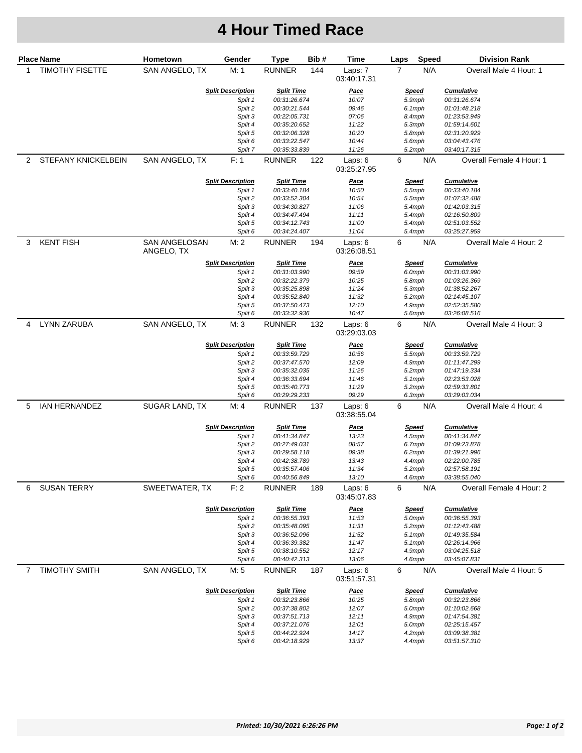## **4 Hour Timed Race**

| <b>Place Name</b> |                        | Hometown                           | Gender                   | Type                          | Bib# | Time                              | Laps                   | <b>Speed</b>     | <b>Division Rank</b>                   |
|-------------------|------------------------|------------------------------------|--------------------------|-------------------------------|------|-----------------------------------|------------------------|------------------|----------------------------------------|
| 1                 | <b>TIMOTHY FISETTE</b> | SAN ANGELO, TX                     | M: 1                     | <b>RUNNER</b>                 | 144  | Laps: 7<br>03:40:17.31            | 7                      | N/A              | Overall Male 4 Hour: 1                 |
|                   |                        |                                    | <b>Split Description</b> | <b>Split Time</b>             |      | Pace                              |                        | <u>Speed</u>     | <b>Cumulative</b>                      |
|                   |                        |                                    | Split 1                  | 00:31:26.674                  |      | 10:07                             | 5.9mph                 |                  | 00:31:26.674                           |
|                   |                        |                                    | Split 2                  | 00:30:21.544                  |      | 09:46                             | 6.1mph                 |                  | 01:01:48.218                           |
|                   |                        |                                    | Split 3                  | 00:22:05.731                  |      | 07:06                             | 8.4mph                 |                  | 01:23:53.949                           |
|                   |                        |                                    | Split 4                  | 00:35:20.652                  |      | 11:22                             | 5.3mph                 |                  | 01:59:14.601                           |
|                   |                        |                                    | Split 5                  | 00:32:06.328                  |      | 10:20                             | 5.8mph                 |                  | 02:31:20.929                           |
|                   |                        |                                    | Split 6                  | 00:33:22.547                  |      | 10:44                             | 5.6mph                 |                  | 03:04:43.476                           |
|                   |                        |                                    | Split 7                  | 00:35:33.839                  |      | 11:26                             | 5.2mph                 |                  | 03:40:17.315                           |
|                   | 2 STEFANY KNICKELBEIN  | SAN ANGELO, TX                     | F: 1                     | RUNNER<br>122                 |      | Laps: 6<br>03:25:27.95            | 6<br>N/A               |                  | Overall Female 4 Hour: 1               |
|                   |                        |                                    | <b>Split Description</b> | <b>Split Time</b>             |      | Pace                              | <u>Speed</u>           |                  | <b>Cumulative</b>                      |
|                   |                        |                                    | Split 1                  | 00:33:40.184                  |      | 10:50                             |                        | 5.5mph           | 00:33:40.184                           |
|                   |                        |                                    | Split 2                  | 00:33:52.304                  |      | 10:54                             |                        | 5.5mph           | 01:07:32.488                           |
|                   |                        |                                    | Split 3                  | 00:34:30.827                  |      | 11:06                             |                        | 5.4mph           | 01:42:03.315                           |
|                   |                        |                                    | Split 4                  | 00:34:47.494                  |      | 11:11                             |                        | 5.4mph           | 02:16:50.809                           |
|                   |                        |                                    | Split 5<br>Split 6       | 00:34:12.743                  |      | 11:00<br>11:04                    |                        | 5.4mph<br>5.4mph | 02:51:03.552<br>03:25:27.959           |
|                   |                        |                                    |                          | 00:34:24.407                  |      |                                   |                        |                  |                                        |
| 3                 | <b>KENT FISH</b>       | <b>SAN ANGELOSAN</b><br>ANGELO, TX | M: 2                     | RUNNER                        | 194  | Laps: $6$<br>03:26:08.51          | 6                      | N/A              | Overall Male 4 Hour: 2                 |
|                   |                        |                                    | <b>Split Description</b> | <b>Split Time</b>             |      | <u>Pace</u>                       |                        | <u>Speed</u>     | <b>Cumulative</b>                      |
|                   |                        |                                    | Split 1                  | 00:31:03.990                  |      | 09:59                             |                        | 6.0mph           | 00:31:03.990                           |
|                   |                        |                                    | Split 2                  | 00:32:22.379                  |      | 10:25                             |                        | 5.8mph           | 01:03:26.369                           |
|                   |                        |                                    | Split 3                  | 00:35:25.898                  |      | 11:24                             |                        | 5.3mph           | 01:38:52.267                           |
|                   |                        |                                    | Split 4                  | 00:35:52.840                  |      | 11:32                             |                        | 5.2mph           | 02:14:45.107                           |
|                   |                        |                                    | Split 5                  | 00:37:50.473                  |      | 12:10                             |                        | 4.9mph           | 02:52:35.580                           |
| 4                 | <b>LYNN ZARUBA</b>     | SAN ANGELO, TX                     | Split 6<br>M:3           | 00:33:32.936<br><b>RUNNER</b> | 132  | 10:47<br>Laps: $6$<br>03:29:03.03 | 5.6mph<br>6            | N/A              | 03:26:08.516<br>Overall Male 4 Hour: 3 |
|                   |                        |                                    |                          |                               |      |                                   |                        |                  |                                        |
|                   |                        |                                    | <b>Split Description</b> | <b>Split Time</b>             |      | <u>Pace</u>                       |                        | <u>Speed</u>     | <b>Cumulative</b>                      |
|                   |                        |                                    | Split 1                  | 00:33:59.729                  |      | 10:56                             |                        | 5.5mph           | 00:33:59.729                           |
|                   |                        |                                    | Split 2                  | 00:37:47.570                  |      | 12:09                             |                        | 4.9mph           | 01:11:47.299                           |
|                   |                        |                                    | Split 3                  | 00:35:32.035                  |      | 11:26                             |                        | 5.2mph           | 01:47:19.334                           |
|                   |                        |                                    | Split 4<br>Split 5       | 00:36:33.694<br>00:35:40.773  |      | 11:46<br>11:29                    |                        | 5.1mph<br>5.2mph | 02:23:53.028<br>02:59:33.801           |
|                   |                        |                                    | Split 6                  | 00:29:29.233                  |      | 09:29                             |                        | 6.3mph           | 03:29:03.034                           |
| 5                 | IAN HERNANDEZ          | SUGAR LAND, TX                     | M: 4                     | <b>RUNNER</b>                 | 137  | Laps: $6$<br>03:38:55.04          | 6                      | N/A              | Overall Male 4 Hour: 4                 |
|                   |                        |                                    | <b>Split Description</b> | <b>Split Time</b>             |      | <b>Pace</b>                       |                        |                  | <b>Cumulative</b>                      |
|                   |                        |                                    | Split 1                  | 00:41:34.847                  |      | 13:23                             | <u>Speed</u><br>4.5mph |                  | 00:41:34.847                           |
|                   |                        |                                    | Split 2                  | 00:27:49.031                  |      | 08:57                             | 6.7mph                 |                  | 01:09:23.878                           |
|                   |                        |                                    | Split 3                  | 00:29:58.118                  |      | 09:38                             | 6.2mph                 |                  | 01:39:21.996                           |
|                   |                        |                                    | Split 4                  | 00:42:38.789                  |      | 13:43                             | 4.4mph                 |                  | 02:22:00.785                           |
|                   |                        |                                    | Split 5                  | 00:35:57.406                  |      | 11:34                             | 5.2mph                 |                  | 02:57:58.191                           |
|                   |                        |                                    | Split 6                  | 00:40:56.849                  |      | 13:10                             | 4.6mph                 |                  | 03:38:55.040                           |
| 6                 | <b>SUSAN TERRY</b>     | SWEETWATER, TX                     | F: 2                     | RUNNER                        | 189  | Laps: $6$<br>03:45:07.83          | 6                      | N/A              | Overall Female 4 Hour: 2               |
|                   |                        |                                    | <b>Split Description</b> | <b>Split Time</b>             |      | <u>Pace</u>                       | <u>Speed</u>           |                  | <b>Cumulative</b>                      |
|                   |                        |                                    | Split 1                  | 00:36:55.393                  |      | 11:53                             | 5.0mph                 |                  | 00:36:55.393                           |
|                   |                        |                                    | Split 2                  | 00:35:48.095                  |      | 11:31                             |                        | 5.2mph           | 01:12:43.488                           |
|                   |                        |                                    | Split 3                  | 00:36:52.096                  |      | 11:52                             | $5.1$ mph              |                  | 01:49:35.584                           |
|                   |                        |                                    | Split 4                  | 00:36:39.382                  |      | 11:47                             | $5.1$ mph              |                  | 02:26:14.966                           |
|                   |                        |                                    | Split 5                  | 00:38:10.552                  |      | 12:17                             | 4.9mph                 |                  | 03:04:25.518                           |
|                   |                        |                                    | Split 6                  | 00:40:42.313                  |      | 13:06                             |                        | 4.6mph           | 03:45:07.831                           |
| 7                 | <b>TIMOTHY SMITH</b>   | SAN ANGELO, TX                     | M: 5                     | RUNNER                        | 187  | Laps: 6<br>03:51:57.31            | 6                      | N/A              | Overall Male 4 Hour: 5                 |
|                   |                        | <b>Split Description</b>           |                          | <b>Split Time</b>             |      | <u>Pace</u>                       | <u>Speed</u>           |                  | <b>Cumulative</b>                      |
|                   |                        |                                    | Split 1                  | 00:32:23.866                  |      | 10:25                             |                        | 5.8mph           | 00:32:23.866                           |
|                   |                        |                                    | Split 2                  | 00:37:38.802                  |      | 12:07                             |                        | 5.0mph           | 01:10:02.668                           |
|                   |                        |                                    | Split 3                  | 00:37:51.713                  |      | 12:11                             |                        | 4.9mph           | 01:47:54.381                           |
|                   |                        |                                    | Split 4                  | 00:37:21.076                  |      | 12:01                             |                        | 5.0mph           | 02:25:15.457                           |
|                   |                        |                                    | Split 5                  | 00:44:22.924                  |      | 14:17                             |                        | 4.2mph           | 03:09:38.381                           |
|                   |                        |                                    | Split 6                  | 00:42:18.929                  |      | 13:37                             |                        | 4.4mph           | 03:51:57.310                           |